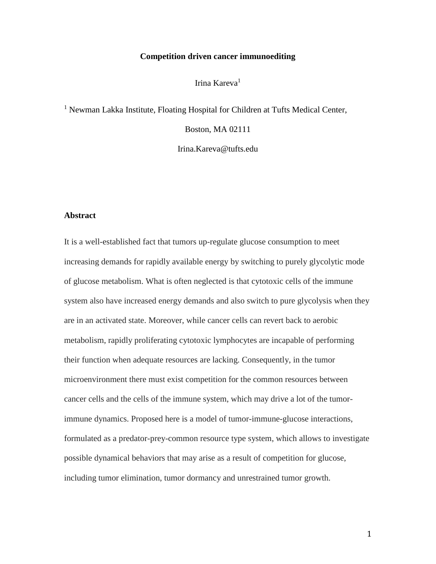### **Competition driven cancer immunoediting**

Irina Kareva<sup>1</sup>

<sup>1</sup> Newman Lakka Institute, Floating Hospital for Children at Tufts Medical Center,

Boston, MA 02111

Irina.Kareva@tufts.edu

# **Abstract**

It is a well-established fact that tumors up-regulate glucose consumption to meet increasing demands for rapidly available energy by switching to purely glycolytic mode of glucose metabolism. What is often neglected is that cytotoxic cells of the immune system also have increased energy demands and also switch to pure glycolysis when they are in an activated state. Moreover, while cancer cells can revert back to aerobic metabolism, rapidly proliferating cytotoxic lymphocytes are incapable of performing their function when adequate resources are lacking. Consequently, in the tumor microenvironment there must exist competition for the common resources between cancer cells and the cells of the immune system, which may drive a lot of the tumorimmune dynamics. Proposed here is a model of tumor-immune-glucose interactions, formulated as a predator-prey-common resource type system, which allows to investigate possible dynamical behaviors that may arise as a result of competition for glucose, including tumor elimination, tumor dormancy and unrestrained tumor growth.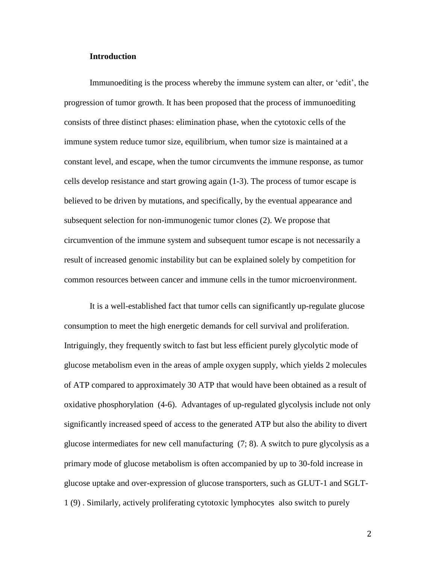#### **Introduction**

Immunoediting is the process whereby the immune system can alter, or 'edit', the progression of tumor growth. It has been proposed that the process of immunoediting consists of three distinct phases: elimination phase, when the cytotoxic cells of the immune system reduce tumor size, equilibrium, when tumor size is maintained at a constant level, and escape, when the tumor circumvents the immune response, as tumor cells develop resistance and start growing again (1-3). The process of tumor escape is believed to be driven by mutations, and specifically, by the eventual appearance and subsequent selection for non-immunogenic tumor clones (2). We propose that circumvention of the immune system and subsequent tumor escape is not necessarily a result of increased genomic instability but can be explained solely by competition for common resources between cancer and immune cells in the tumor microenvironment.

It is a well-established fact that tumor cells can significantly up-regulate glucose consumption to meet the high energetic demands for cell survival and proliferation. Intriguingly, they frequently switch to fast but less efficient purely glycolytic mode of glucose metabolism even in the areas of ample oxygen supply, which yields 2 molecules of ATP compared to approximately 30 ATP that would have been obtained as a result of oxidative phosphorylation (4-6). Advantages of up-regulated glycolysis include not only significantly increased speed of access to the generated ATP but also the ability to divert glucose intermediates for new cell manufacturing (7; 8). A switch to pure glycolysis as a primary mode of glucose metabolism is often accompanied by up to 30-fold increase in glucose uptake and over-expression of glucose transporters, such as GLUT-1 and SGLT-1 (9) . Similarly, actively proliferating cytotoxic lymphocytes also switch to purely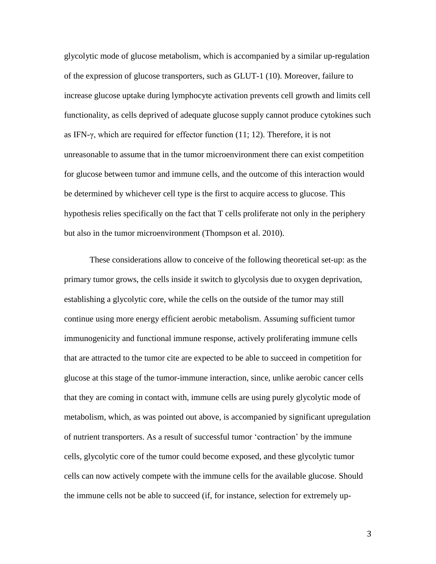glycolytic mode of glucose metabolism, which is accompanied by a similar up-regulation of the expression of glucose transporters, such as GLUT-1 (10). Moreover, failure to increase glucose uptake during lymphocyte activation prevents cell growth and limits cell functionality, as cells deprived of adequate glucose supply cannot produce cytokines such as IFN-γ, which are required for effector function (11; 12). Therefore, it is not unreasonable to assume that in the tumor microenvironment there can exist competition for glucose between tumor and immune cells, and the outcome of this interaction would be determined by whichever cell type is the first to acquire access to glucose. This hypothesis relies specifically on the fact that T cells proliferate not only in the periphery but also in the tumor microenvironment (Thompson et al. 2010).

These considerations allow to conceive of the following theoretical set-up: as the primary tumor grows, the cells inside it switch to glycolysis due to oxygen deprivation, establishing a glycolytic core, while the cells on the outside of the tumor may still continue using more energy efficient aerobic metabolism. Assuming sufficient tumor immunogenicity and functional immune response, actively proliferating immune cells that are attracted to the tumor cite are expected to be able to succeed in competition for glucose at this stage of the tumor-immune interaction, since, unlike aerobic cancer cells that they are coming in contact with, immune cells are using purely glycolytic mode of metabolism, which, as was pointed out above, is accompanied by significant upregulation of nutrient transporters. As a result of successful tumor 'contraction' by the immune cells, glycolytic core of the tumor could become exposed, and these glycolytic tumor cells can now actively compete with the immune cells for the available glucose. Should the immune cells not be able to succeed (if, for instance, selection for extremely up-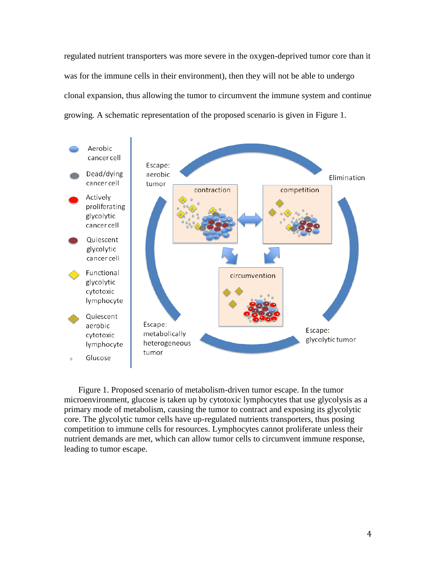regulated nutrient transporters was more severe in the oxygen-deprived tumor core than it was for the immune cells in their environment), then they will not be able to undergo clonal expansion, thus allowing the tumor to circumvent the immune system and continue growing. A schematic representation of the proposed scenario is given in Figure 1.



Figure 1. Proposed scenario of metabolism-driven tumor escape. In the tumor microenvironment, glucose is taken up by cytotoxic lymphocytes that use glycolysis as a primary mode of metabolism, causing the tumor to contract and exposing its glycolytic core. The glycolytic tumor cells have up-regulated nutrients transporters, thus posing competition to immune cells for resources. Lymphocytes cannot proliferate unless their nutrient demands are met, which can allow tumor cells to circumvent immune response, leading to tumor escape.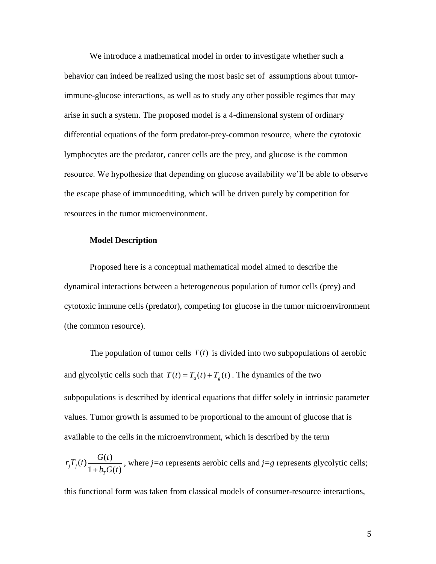We introduce a mathematical model in order to investigate whether such a behavior can indeed be realized using the most basic set of assumptions about tumorimmune-glucose interactions, as well as to study any other possible regimes that may arise in such a system. The proposed model is a 4-dimensional system of ordinary differential equations of the form predator-prey-common resource, where the cytotoxic lymphocytes are the predator, cancer cells are the prey, and glucose is the common resource. We hypothesize that depending on glucose availability we'll be able to observe the escape phase of immunoediting, which will be driven purely by competition for resources in the tumor microenvironment.

#### **Model Description**

Proposed here is a conceptual mathematical model aimed to describe the dynamical interactions between a heterogeneous population of tumor cells (prey) and cytotoxic immune cells (predator), competing for glucose in the tumor microenvironment (the common resource).

The population of tumor cells  $T(t)$  is divided into two subpopulations of aerobic and glycolytic cells such that  $T(t) = T_a(t) + T_g(t)$ . The dynamics of the two subpopulations is described by identical equations that differ solely in intrinsic parameter values. Tumor growth is assumed to be proportional to the amount of glucose that is available to the cells in the microenvironment, which is described by the term

$$
r_jT_j(t)
$$
  $\frac{G(t)}{1+b_rG(t)}$ , where *j*=*a* represents aerobic cells and *j*=*g* represents glycolytic cells;

this functional form was taken from classical models of consumer-resource interactions,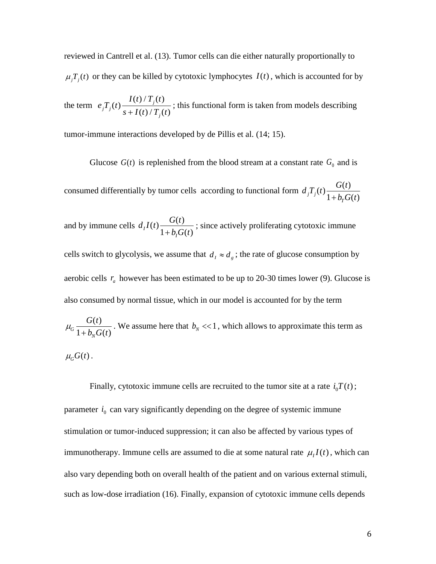reviewed in Cantrell et al. (13). Tumor cells can die either naturally proportionally to  $\mu_j T_j(t)$  or they can be killed by cytotoxic lymphocytes  $I(t)$ , which is accounted for by

the term  $e_i T_i(t) \frac{I(t)/T_j(t)}{I(t)/T_j(t)}$  $(t)$  $_{j}T_{j}(t)\frac{I(t)+I_{j}(t)}{s+I(t)/T_{j}(t)}$ *j*  $I(t)/T_{i}$ (*t*  $e_i T_i(t)$  $\frac{1}{s+I(t)/T_i(t)}$ ; this functional form is taken from models describing

tumor-immune interactions developed by de Pillis et al. (14; 15).

Glucose  $G(t)$  is replenished from the blood stream at a constant rate  $G_0$  and is consumed differentially by tumor cells according to functional form  $d_i T_i(t) \frac{G(t)}{d_i - 1}$  $j^{I}$ <sub>*j*</sub>(*l*)  $\frac{1}{1 + b_{T}G(t)}$  $d_i T_i(t) \frac{G(t)}{t}$  $+ b_T G(t$ and by immune cells  $d_I I(t) \frac{G(t)}{1 + \sigma^2}$  $I^{I(t)}$   $1 + b_{I}G(t)$  $d_I I(t) \frac{G(t)}{1+t}$  $\frac{O(t)}{1 + b_i G(t)}$ ; since actively proliferating cytotoxic immune cells switch to glycolysis, we assume that  $d_i \approx d_g$ ; the rate of glucose consumption by aerobic cells  $r_a$  however has been estimated to be up to 20-30 times lower (9). Glucose is also consumed by normal tissue, which in our model is accounted for by the term  $G(t)$ 

$$
\mu_G \frac{O(t)}{1 + b_N G(t)}
$$
. We assume here that  $b_N \ll 1$ , which allows to approximate this term as  
 $\mu_G G(t)$ .

Finally, cytotoxic immune cells are recruited to the tumor site at a rate  $i_0T(t)$ ; parameter  $i_0$  can vary significantly depending on the degree of systemic immune stimulation or tumor-induced suppression; it can also be affected by various types of immunotherapy. Immune cells are assumed to die at some natural rate  $\mu_I I(t)$ , which can also vary depending both on overall health of the patient and on various external stimuli, such as low-dose irradiation (16). Finally, expansion of cytotoxic immune cells depends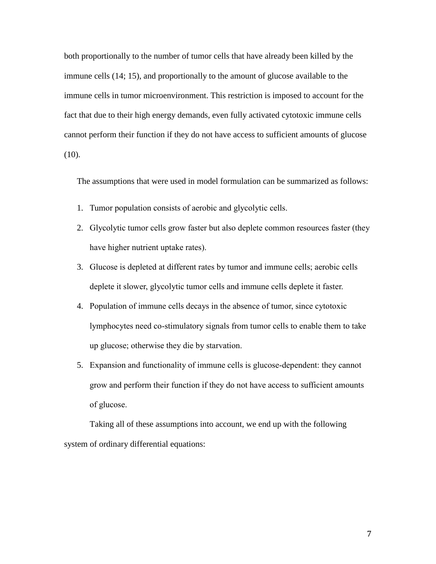both proportionally to the number of tumor cells that have already been killed by the immune cells (14; 15), and proportionally to the amount of glucose available to the immune cells in tumor microenvironment. This restriction is imposed to account for the fact that due to their high energy demands, even fully activated cytotoxic immune cells cannot perform their function if they do not have access to sufficient amounts of glucose (10).

The assumptions that were used in model formulation can be summarized as follows:

- 1. Tumor population consists of aerobic and glycolytic cells.
- 2. Glycolytic tumor cells grow faster but also deplete common resources faster (they have higher nutrient uptake rates).
- 3. Glucose is depleted at different rates by tumor and immune cells; aerobic cells deplete it slower, glycolytic tumor cells and immune cells deplete it faster.
- 4. Population of immune cells decays in the absence of tumor, since cytotoxic lymphocytes need co-stimulatory signals from tumor cells to enable them to take up glucose; otherwise they die by starvation.
- 5. Expansion and functionality of immune cells is glucose-dependent: they cannot grow and perform their function if they do not have access to sufficient amounts of glucose.

Taking all of these assumptions into account, we end up with the following system of ordinary differential equations: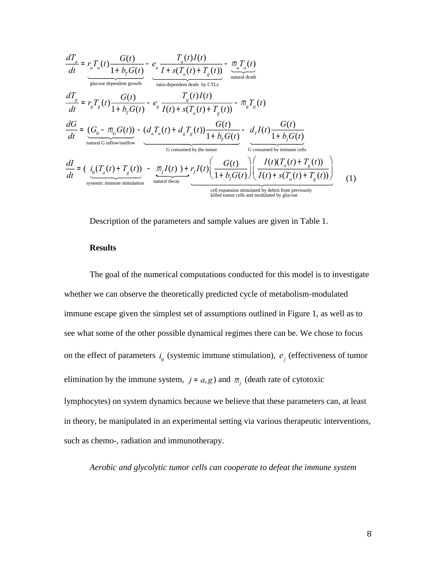$$
\frac{dT_a}{dt} = r_a T_a(t) \frac{G(t)}{1 + b_r G(t)} - e_a \frac{T_a(t)I(t)}{I + s(T_a(t) + T_g(t))} - \frac{m_a T_a(t)}{\text{natural death}}
$$
\n
$$
\frac{dT_g}{dt} = r_g T_g(t) \frac{G(t)}{1 + b_r G(t)} - e_g \frac{T_g(t)I(t)}{I(t) + s(T_a(t) + T_g(t))} - m_g T_g(t)
$$
\n
$$
\frac{dG}{dt} = \frac{(G_0 - m_G G(t)) - (d_a T_a(t) + d_g T_g(t)) \frac{G(t)}{1 + b_r G(t)}}{\text{natural G inflow/outflow}}
$$
\n
$$
\frac{dI}{dt} = \left(\frac{i_0 (T_a(t) + T_g(t)) - m_a I(t) + r_a I(t)}{\frac{G}{1 + b_r G(t)}}\right) - \frac{d_I I(t) \frac{G(t)}{1 + b_f G(t)}}{\frac{G \text{ consumed by the tumor}}{\text{cosnumed by time cells}}}
$$
\n
$$
\frac{dI}{dt} = \left(\frac{i_0 (T_a(t) + T_g(t)) - m_I I(t) + r_I I(t) \left(\frac{G(t)}{1 + b_f G(t)}\right) \left(\frac{I(t) (T_a(t) + T_g(t))}{I(t) + s(T_a(t) + T_g(t))}\right)}{\frac{G \text{cosnumed by inmune cells}}{\text{isline number-stimulation}}}\right)
$$
\n
$$
\frac{dI}{dt} = \frac{dI}{dt} \frac{dI}{dt} = \frac{dI}{dt} \frac{dI}{dt} = \frac{dI}{dt} \frac{dI}{dt} = \frac{dI}{dt} \frac{dI}{dt} = \frac{dI}{dt} \frac{dI}{dt} = \frac{dI}{dt} \frac{dI}{dt} = \frac{dI}{dt} \frac{dI}{dt} = \frac{dI}{dt} \frac{dI}{dt} = \frac{dI}{dt} \frac{dI}{dt} = \frac{dI}{dt} \frac{dI}{dt} = \frac{dI}{dt} \frac{dI}{dt} = \frac{dI}{dt} \frac{dI}{dt} = \frac{dI}{dt} \frac{dI}{dt} = \frac{dI}{dt} \frac{dI}{dt} = \frac{dI}{dt} \frac{dI}{dt} = \frac{dI}{dt} \frac{dI}{dt} = \frac{dI}{dt} \frac{dI}{dt} = \frac{dI
$$

Description of the parameters and sample values are given in Table 1.

### **Results**

The goal of the numerical computations conducted for this model is to investigate whether we can observe the theoretically predicted cycle of metabolism-modulated immune escape given the simplest set of assumptions outlined in Figure 1, as well as to see what some of the other possible dynamical regimes there can be. We chose to focus on the effect of parameters  $i_0$  (systemic immune stimulation),  $e_j$  (effectiveness of tumor elimination by the immune system,  $j = a$ , *g*) and  $m<sub>j</sub>$  (death rate of cytotoxic lymphocytes) on system dynamics because we believe that these parameters can, at least in theory, be manipulated in an experimental setting via various therapeutic interventions, such as chemo-, radiation and immunotherapy.

*Aerobic and glycolytic tumor cells can cooperate to defeat the immune system*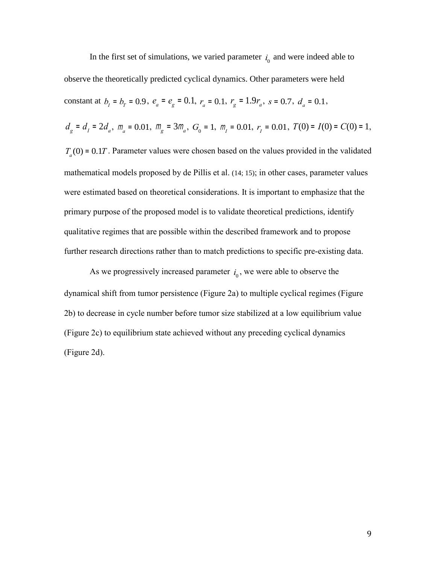In the first set of simulations, we varied parameter  $i_0$  and were indeed able to observe the theoretically predicted cyclical dynamics. Other parameters were held constant at  $b_1 = b_1 = 0.9$ ,  $e_a = e_g = 0.1$ ,  $r_a = 0.1$ ,  $r_g = 1.9r_a$ ,  $s = 0.7$ ,  $d_a = 0.1$ ,  $d_g = d_I = 2d_a$ ,  $m_a = 0.01$ ,  $m_g = 3m_a$ ,  $G_0 = 1$ ,  $m_I = 0.01$ ,  $r_I = 0.01$ ,  $T(0) = I(0) = C(0) = 1$ ,  $T_a(0) = 0.1T$ . Parameter values were chosen based on the values provided in the validated mathematical models proposed by de Pillis et al. (14; 15); in other cases, parameter values were estimated based on theoretical considerations. It is important to emphasize that the primary purpose of the proposed model is to validate theoretical predictions, identify qualitative regimes that are possible within the described framework and to propose further research directions rather than to match predictions to specific pre-existing data.

As we progressively increased parameter  $i_0$ , we were able to observe the dynamical shift from tumor persistence (Figure 2a) to multiple cyclical regimes (Figure 2b) to decrease in cycle number before tumor size stabilized at a low equilibrium value (Figure 2c) to equilibrium state achieved without any preceding cyclical dynamics (Figure 2d).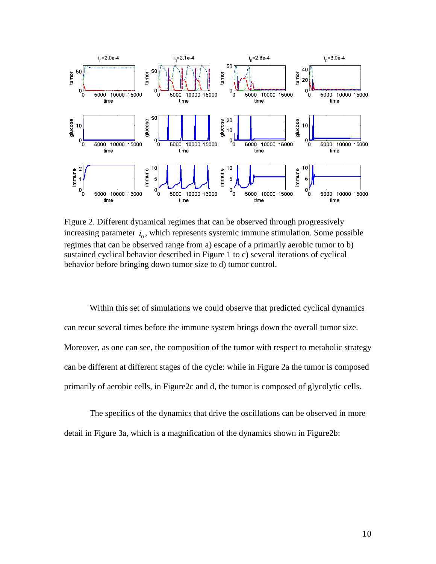

Figure 2. Different dynamical regimes that can be observed through progressively increasing parameter  $i_0$ , which represents systemic immune stimulation. Some possible regimes that can be observed range from a) escape of a primarily aerobic tumor to b) sustained cyclical behavior described in Figure 1 to c) several iterations of cyclical behavior before bringing down tumor size to d) tumor control.

Within this set of simulations we could observe that predicted cyclical dynamics can recur several times before the immune system brings down the overall tumor size. Moreover, as one can see, the composition of the tumor with respect to metabolic strategy can be different at different stages of the cycle: while in Figure 2a the tumor is composed primarily of aerobic cells, in Figure2c and d, the tumor is composed of glycolytic cells.

The specifics of the dynamics that drive the oscillations can be observed in more detail in Figure 3a, which is a magnification of the dynamics shown in Figure2b: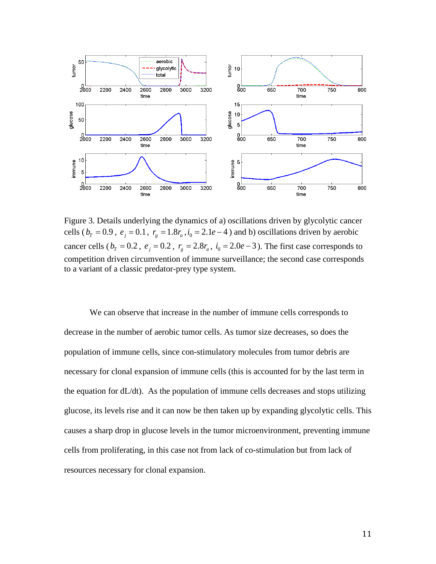

Figure 3. Details underlying the dynamics of a) oscillations driven by glycolytic cancer cells ( $b_T = 0.9$ ,  $e_j = 0.1$ ,  $r_g = 1.8r_a$ ,  $i_0 = 2.1e-4$ ) and b) oscillations driven by aerobic cancer cells ( $b_T = 0.2$ ,  $e_j = 0.2$ ,  $r_g = 2.8r_a$ ,  $i_0 = 2.0e-3$ ). The first case corresponds to competition driven circumvention of immune surveillance; the second case corresponds to a variant of a classic predator-prey type system.

We can observe that increase in the number of immune cells corresponds to decrease in the number of aerobic tumor cells. As tumor size decreases, so does the population of immune cells, since con-stimulatory molecules from tumor debris are necessary for clonal expansion of immune cells (this is accounted for by the last term in the equation for dL/dt). As the population of immune cells decreases and stops utilizing glucose, its levels rise and it can now be then taken up by expanding glycolytic cells. This causes a sharp drop in glucose levels in the tumor microenvironment, preventing immune cells from proliferating, in this case not from lack of co-stimulation but from lack of resources necessary for clonal expansion.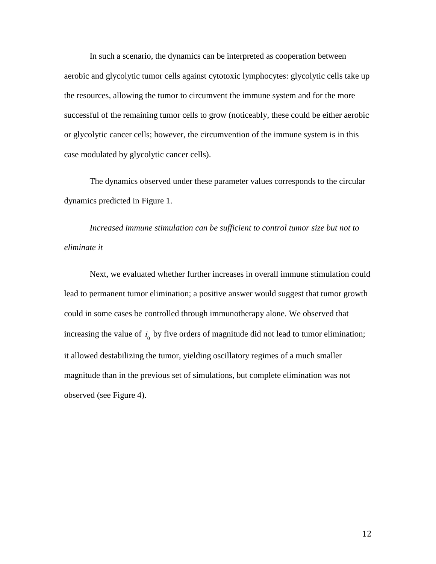In such a scenario, the dynamics can be interpreted as cooperation between aerobic and glycolytic tumor cells against cytotoxic lymphocytes: glycolytic cells take up the resources, allowing the tumor to circumvent the immune system and for the more successful of the remaining tumor cells to grow (noticeably, these could be either aerobic or glycolytic cancer cells; however, the circumvention of the immune system is in this case modulated by glycolytic cancer cells).

The dynamics observed under these parameter values corresponds to the circular dynamics predicted in Figure 1.

*Increased immune stimulation can be sufficient to control tumor size but not to eliminate it*

Next, we evaluated whether further increases in overall immune stimulation could lead to permanent tumor elimination; a positive answer would suggest that tumor growth could in some cases be controlled through immunotherapy alone. We observed that increasing the value of  $i_0$  by five orders of magnitude did not lead to tumor elimination; it allowed destabilizing the tumor, yielding oscillatory regimes of a much smaller magnitude than in the previous set of simulations, but complete elimination was not observed (see Figure 4).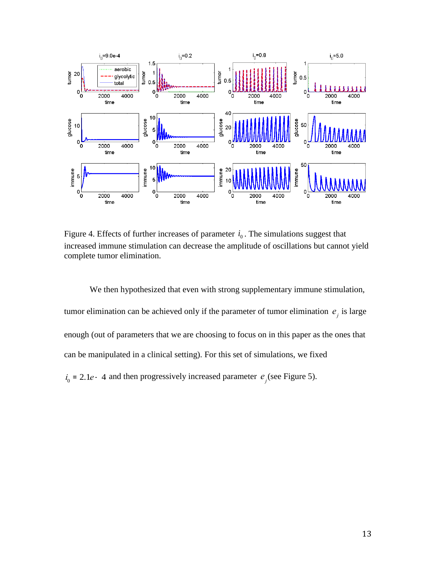

Figure 4. Effects of further increases of parameter  $i_0$ . The simulations suggest that increased immune stimulation can decrease the amplitude of oscillations but cannot yield complete tumor elimination.

We then hypothesized that even with strong supplementary immune stimulation, tumor elimination can be achieved only if the parameter of tumor elimination  $e_j$  is large enough (out of parameters that we are choosing to focus on in this paper as the ones that can be manipulated in a clinical setting). For this set of simulations, we fixed  $i_0 = 2.1e - 4$  and then progressively increased parameter  $e_j$  (see Figure 5).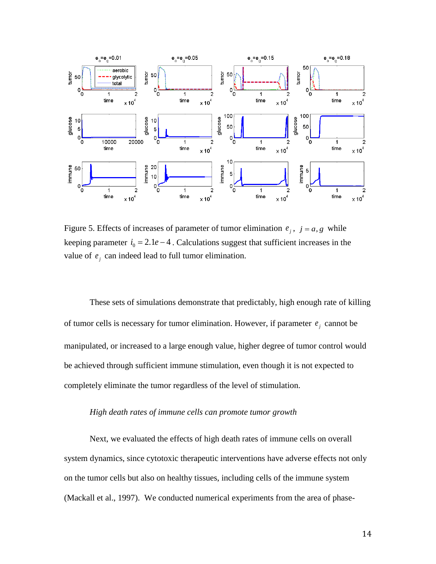

Figure 5. Effects of increases of parameter of tumor elimination  $e_j$ ,  $j = a, g$  while keeping parameter  $i_0 = 2.1e-4$ . Calculations suggest that sufficient increases in the value of  $e_j$  can indeed lead to full tumor elimination.

These sets of simulations demonstrate that predictably, high enough rate of killing of tumor cells is necessary for tumor elimination. However, if parameter  $e_i$  cannot be manipulated, or increased to a large enough value, higher degree of tumor control would be achieved through sufficient immune stimulation, even though it is not expected to completely eliminate the tumor regardless of the level of stimulation.

## *High death rates of immune cells can promote tumor growth*

Next, we evaluated the effects of high death rates of immune cells on overall system dynamics, since cytotoxic therapeutic interventions have adverse effects not only on the tumor cells but also on healthy tissues, including cells of the immune system (Mackall et al., 1997). We conducted numerical experiments from the area of phase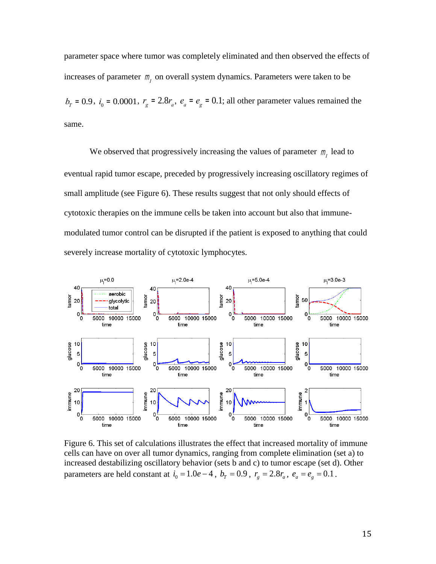parameter space where tumor was completely eliminated and then observed the effects of increases of parameter  $m_l$  on overall system dynamics. Parameters were taken to be  $b_T = 0.9$ ,  $i_0 = 0.0001$ ,  $r_g = 2.8r_a$ ,  $e_a = e_g = 0.1$ ; all other parameter values remained the same.

We observed that progressively increasing the values of parameter  $m<sub>l</sub>$  lead to eventual rapid tumor escape, preceded by progressively increasing oscillatory regimes of small amplitude (see Figure 6). These results suggest that not only should effects of cytotoxic therapies on the immune cells be taken into account but also that immunemodulated tumor control can be disrupted if the patient is exposed to anything that could severely increase mortality of cytotoxic lymphocytes.



Figure 6. This set of calculations illustrates the effect that increased mortality of immune cells can have on over all tumor dynamics, ranging from complete elimination (set a) to increased destabilizing oscillatory behavior (sets b and c) to tumor escape (set d). Other parameters are held constant at  $i_0 = 1.0e - 4$ ,  $b_T = 0.9$ ,  $r_g = 2.8r_a$ ,  $e_a = e_g = 0.1$ .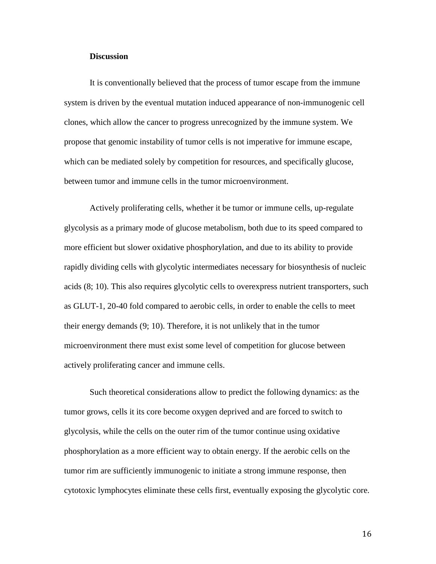## **Discussion**

It is conventionally believed that the process of tumor escape from the immune system is driven by the eventual mutation induced appearance of non-immunogenic cell clones, which allow the cancer to progress unrecognized by the immune system. We propose that genomic instability of tumor cells is not imperative for immune escape, which can be mediated solely by competition for resources, and specifically glucose, between tumor and immune cells in the tumor microenvironment.

Actively proliferating cells, whether it be tumor or immune cells, up-regulate glycolysis as a primary mode of glucose metabolism, both due to its speed compared to more efficient but slower oxidative phosphorylation, and due to its ability to provide rapidly dividing cells with glycolytic intermediates necessary for biosynthesis of nucleic acids (8; 10). This also requires glycolytic cells to overexpress nutrient transporters, such as GLUT-1, 20-40 fold compared to aerobic cells, in order to enable the cells to meet their energy demands (9; 10). Therefore, it is not unlikely that in the tumor microenvironment there must exist some level of competition for glucose between actively proliferating cancer and immune cells.

Such theoretical considerations allow to predict the following dynamics: as the tumor grows, cells it its core become oxygen deprived and are forced to switch to glycolysis, while the cells on the outer rim of the tumor continue using oxidative phosphorylation as a more efficient way to obtain energy. If the aerobic cells on the tumor rim are sufficiently immunogenic to initiate a strong immune response, then cytotoxic lymphocytes eliminate these cells first, eventually exposing the glycolytic core.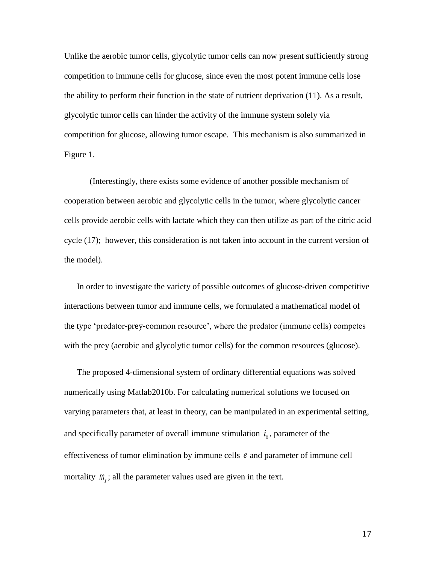Unlike the aerobic tumor cells, glycolytic tumor cells can now present sufficiently strong competition to immune cells for glucose, since even the most potent immune cells lose the ability to perform their function in the state of nutrient deprivation (11). As a result, glycolytic tumor cells can hinder the activity of the immune system solely via competition for glucose, allowing tumor escape. This mechanism is also summarized in Figure 1.

(Interestingly, there exists some evidence of another possible mechanism of cooperation between aerobic and glycolytic cells in the tumor, where glycolytic cancer cells provide aerobic cells with lactate which they can then utilize as part of the citric acid cycle (17); however, this consideration is not taken into account in the current version of the model).

In order to investigate the variety of possible outcomes of glucose-driven competitive interactions between tumor and immune cells, we formulated a mathematical model of the type 'predator-prey-common resource', where the predator (immune cells) competes with the prey (aerobic and glycolytic tumor cells) for the common resources (glucose).

The proposed 4-dimensional system of ordinary differential equations was solved numerically using Matlab2010b. For calculating numerical solutions we focused on varying parameters that, at least in theory, can be manipulated in an experimental setting, and specifically parameter of overall immune stimulation  $i_0$ , parameter of the effectiveness of tumor elimination by immune cells *e* and parameter of immune cell mortality  $m<sub>i</sub>$ ; all the parameter values used are given in the text.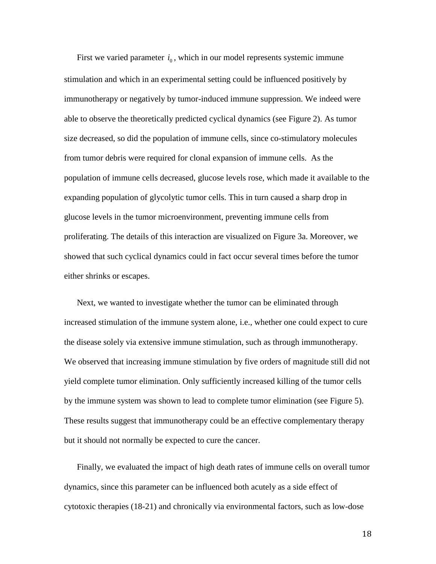First we varied parameter  $i_0$ , which in our model represents systemic immune stimulation and which in an experimental setting could be influenced positively by immunotherapy or negatively by tumor-induced immune suppression. We indeed were able to observe the theoretically predicted cyclical dynamics (see Figure 2). As tumor size decreased, so did the population of immune cells, since co-stimulatory molecules from tumor debris were required for clonal expansion of immune cells. As the population of immune cells decreased, glucose levels rose, which made it available to the expanding population of glycolytic tumor cells. This in turn caused a sharp drop in glucose levels in the tumor microenvironment, preventing immune cells from proliferating. The details of this interaction are visualized on Figure 3a. Moreover, we showed that such cyclical dynamics could in fact occur several times before the tumor either shrinks or escapes.

Next, we wanted to investigate whether the tumor can be eliminated through increased stimulation of the immune system alone, i.e., whether one could expect to cure the disease solely via extensive immune stimulation, such as through immunotherapy. We observed that increasing immune stimulation by five orders of magnitude still did not yield complete tumor elimination. Only sufficiently increased killing of the tumor cells by the immune system was shown to lead to complete tumor elimination (see Figure 5). These results suggest that immunotherapy could be an effective complementary therapy but it should not normally be expected to cure the cancer.

Finally, we evaluated the impact of high death rates of immune cells on overall tumor dynamics, since this parameter can be influenced both acutely as a side effect of cytotoxic therapies (18-21) and chronically via environmental factors, such as low-dose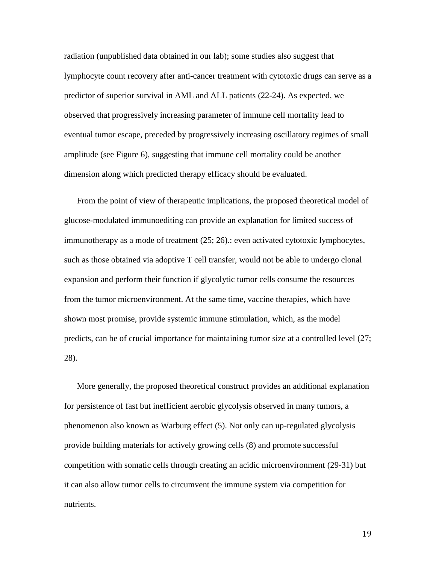radiation (unpublished data obtained in our lab); some studies also suggest that lymphocyte count recovery after anti-cancer treatment with cytotoxic drugs can serve as a predictor of superior survival in AML and ALL patients (22-24). As expected, we observed that progressively increasing parameter of immune cell mortality lead to eventual tumor escape, preceded by progressively increasing oscillatory regimes of small amplitude (see Figure 6), suggesting that immune cell mortality could be another dimension along which predicted therapy efficacy should be evaluated.

From the point of view of therapeutic implications, the proposed theoretical model of glucose-modulated immunoediting can provide an explanation for limited success of immunotherapy as a mode of treatment (25; 26).: even activated cytotoxic lymphocytes, such as those obtained via adoptive T cell transfer, would not be able to undergo clonal expansion and perform their function if glycolytic tumor cells consume the resources from the tumor microenvironment. At the same time, vaccine therapies, which have shown most promise, provide systemic immune stimulation, which, as the model predicts, can be of crucial importance for maintaining tumor size at a controlled level (27; 28).

More generally, the proposed theoretical construct provides an additional explanation for persistence of fast but inefficient aerobic glycolysis observed in many tumors, a phenomenon also known as Warburg effect (5). Not only can up-regulated glycolysis provide building materials for actively growing cells (8) and promote successful competition with somatic cells through creating an acidic microenvironment (29-31) but it can also allow tumor cells to circumvent the immune system via competition for nutrients.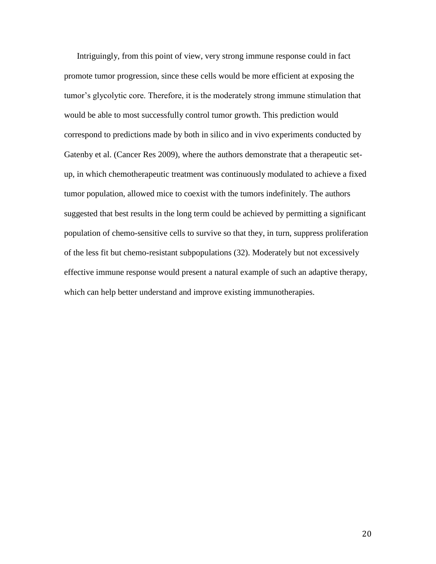Intriguingly, from this point of view, very strong immune response could in fact promote tumor progression, since these cells would be more efficient at exposing the tumor's glycolytic core. Therefore, it is the moderately strong immune stimulation that would be able to most successfully control tumor growth. This prediction would correspond to predictions made by both in silico and in vivo experiments conducted by Gatenby et al. (Cancer Res 2009), where the authors demonstrate that a therapeutic setup, in which chemotherapeutic treatment was continuously modulated to achieve a fixed tumor population, allowed mice to coexist with the tumors indefinitely. The authors suggested that best results in the long term could be achieved by permitting a significant population of chemo-sensitive cells to survive so that they, in turn, suppress proliferation of the less fit but chemo-resistant subpopulations (32). Moderately but not excessively effective immune response would present a natural example of such an adaptive therapy, which can help better understand and improve existing immunotherapies.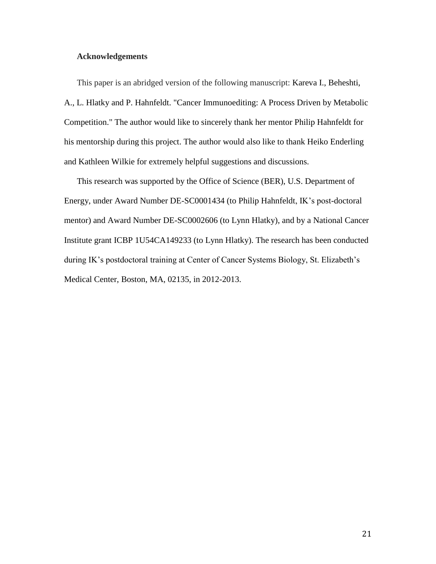### **Acknowledgements**

This paper is an abridged version of the following manuscript: Kareva I., Beheshti, A., L. Hlatky and P. Hahnfeldt. "Cancer Immunoediting: A Process Driven by Metabolic Competition." The author would like to sincerely thank her mentor Philip Hahnfeldt for his mentorship during this project. The author would also like to thank Heiko Enderling and Kathleen Wilkie for extremely helpful suggestions and discussions.

This research was supported by the Office of Science (BER), U.S. Department of Energy, under Award Number DE-SC0001434 (to Philip Hahnfeldt, IK's post-doctoral mentor) and Award Number DE-SC0002606 (to Lynn Hlatky), and by a National Cancer Institute grant ICBP 1U54CA149233 (to Lynn Hlatky). The research has been conducted during IK's postdoctoral training at Center of Cancer Systems Biology, St. Elizabeth's Medical Center, Boston, MA, 02135, in 2012-2013.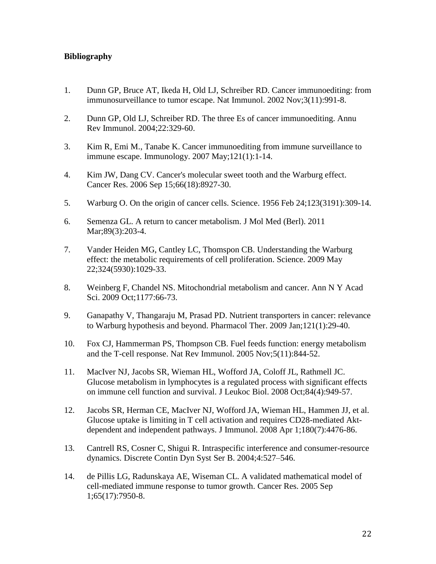# **Bibliography**

- 1. Dunn GP, Bruce AT, Ikeda H, Old LJ, Schreiber RD. Cancer immunoediting: from immunosurveillance to tumor escape. Nat [Immunol.](http://www.ncbi.nlm.nih.gov/pubmed/12407406) 2002 Nov;3(11):991-8.
- 2. Dunn GP, Old LJ, Schreiber RD. The three Es of cancer immunoediting. Annu Rev Immunol. 2004;22:329-60.
- 3. Kim R, Emi M., Tanabe K. Cancer immunoediting from immune surveillance to immune escape. [Immunology.](http://www.ncbi.nlm.nih.gov/pubmed?term=Kim%20R%2C%20Emi%20M.%2C%20Tanabe%20K.%20Cancer%20immunoediting%20from%20immune%20surveillance%20to%20immune%20escape.) 2007 May;121(1):1-14.
- 4. Kim JW, Dang CV. Cancer's molecular sweet tooth and the Warburg effect. [Cancer](http://www.ncbi.nlm.nih.gov/pubmed?term=Cancer) Res. 2006 Sep 15;66(18):8927-30.
- 5. Warburg O. On the origin of cancer cells. Science. 1956 Feb 24;123(3191):309-14.
- 6. Semenza GL. A return to cancer metabolism. J Mol Med [\(Berl\).](http://www.ncbi.nlm.nih.gov/pubmed?term=Semenza%20GL.%20A%20return%20to%20cancer%20metabolism.) 2011 Mar;89(3):203-4.
- 7. Vander Heiden MG, Cantley LC, Thomspon CB. Understanding the Warburg effect: the metabolic requirements of cell proliferation. Science. 2009 May 22;324(5930):1029-33.
- 8. Weinberg F, Chandel NS. Mitochondrial metabolism and cancer. Ann N Y Acad Sci. 2009 Oct;1177:66-73.
- 9. Ganapathy V, Thangaraju M, Prasad PD. Nutrient transporters in cancer: relevance to Warburg hypothesis and beyond. [Pharmacol](http://www.ncbi.nlm.nih.gov/pubmed?term=Ganapathy%20V%2C%20Thangaraju%20M%2C%20Prasad%20PD.%20Nutrient%20transporters%20in%20cancer%3A%20relevance%20to%20Warburg%20hypothesis%20and%20beyond) Ther. 2009 Jan;121(1):29-40.
- 10. Fox CJ, Hammerman PS, Thompson CB. Fuel feeds function: energy metabolism and the T-cell response. Nat Rev [Immunol.](http://www.ncbi.nlm.nih.gov/pubmed?term=Fox%20C%2C%20Hammerman%20P.%20Fuel%20feeds%20function%3A%20energy%20metabolism%20and%20the%20T-cell%20response) 2005 Nov;5(11):844-52.
- 11. MacIver NJ, Jacobs SR, Wieman HL, Wofford JA, Coloff JL, Rathmell JC. Glucose metabolism in lymphocytes is a regulated process with significant effects on immune cell function and survival. J [Leukoc](http://www.ncbi.nlm.nih.gov/pubmed?term=MacIver%20NJ%2C%20Jacobs%20SR%2C%20Wieman%20HL%2C%20Wofford%20JA%2C%20Coloff%20JL%2C%20Rathmell%20JC.%20Glucose%20metabolism%20in%20lymphocytes%20is%20a%20regulated%20process%20with%20significant%20effects%20on%20immune%20cell%20function%20and%20survival) Biol. 2008 Oct;84(4):949-57.
- 12. Jacobs SR, Herman CE, MacIver NJ, Wofford JA, Wieman HL, Hammen JJ, et al. Glucose uptake is limiting in T cell activation and requires CD28-mediated Aktdependent and independent pathways. J [Immunol.](http://www.ncbi.nlm.nih.gov/pubmed?term=Jacobs%20S%2C%20Herman%20C%2C%20MacIver%20N.%20Glucose%20uptake%20is%20limiting%20in%20T%20cell%20activation%20and%20requires%20CD28-mediated%20Akt-dependent%20and%20independent%20pathways) 2008 Apr 1;180(7):4476-86.
- 13. Cantrell RS, Cosner C, Shigui R. Intraspecific interference and consumer-resource dynamics. Discrete Contin Dyn Syst Ser B. 2004;4:527–546.
- 14. de Pillis LG, Radunskaya AE, Wiseman CL. A validated mathematical model of cell-mediated immune response to tumor growth. [Cancer](http://www.ncbi.nlm.nih.gov/pubmed?term=de%20Pillis%20LG%2C%20Radunskaya%20AE%2C%20Wiseman%20CL.%20A%20validated%20mathematical%20model%20of%20cell-mediated%20immune%20response%20to%20tumor%20growth) Res. 2005 Sep 1;65(17):7950-8.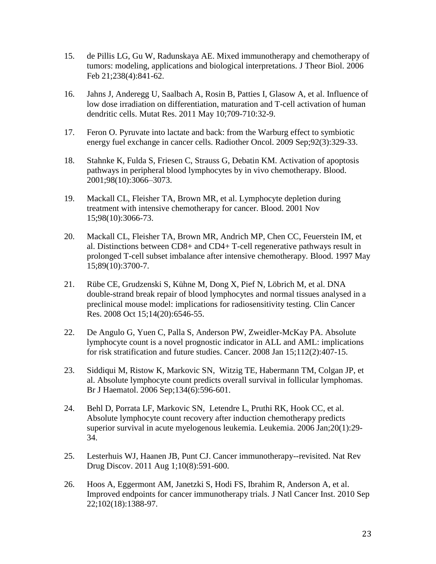- 15. de Pillis LG, Gu W, Radunskaya AE. Mixed immunotherapy and chemotherapy of tumors: modeling, applications and biological interpretations. J [Theor](http://www.ncbi.nlm.nih.gov/pubmed?term=de%20Pillis%20LG%2C%20Gu%20W%2C%20Radunskaya%20AE.%20Mixed%20immunotherapy%20and%20chemotherapy%20of%20tumors%3A%20modeling%2C%20applications%20and%20biological%20interpretations.) Biol. 2006 Feb 21;238(4):841-62.
- 16. Jahns J, Anderegg U, Saalbach A, Rosin B, Patties I, Glasow A, et al. Influence of low dose irradiation on differentiation, maturation and T-cell activation of human dendritic cells. [Mutat](http://www.ncbi.nlm.nih.gov/pubmed?term=Jahns%20J%2C%20Anderegg%20U%2C%20Saalbach%20A%2C%20Rosin%20B.%20Influence%20of%20low%20dose%20irradiation%20on%20differentiation%2C%20maturation%20and%20T-cell%20activation%20of%20human%20dendritic%20cells.) Res. 2011 May 10;709-710:32-9.
- 17. Feron O. Pyruvate into lactate and back: from the Warburg effect to symbiotic energy fuel exchange in cancer cells. [Radiother](http://www.ncbi.nlm.nih.gov/pubmed?term=Pyruvate%20into%20lactate%20and%20back%3A%20from%20the%20Warburg%20effect%20to%20symbiotic%20energy%20fuel%20exchange%20in%20cancer%20cells) Oncol. 2009 Sep;92(3):329-33.
- 18. Stahnke K, Fulda S, Friesen C, Strauss G, Debatin KM. Activation of apoptosis pathways in peripheral blood lymphocytes by in vivo chemotherapy. Blood. 2001;98(10):3066–3073.
- 19. Mackall CL, Fleisher TA, Brown MR, et al. Lymphocyte depletion during treatment with intensive chemotherapy for cancer. [Blood.](http://www.ncbi.nlm.nih.gov/pubmed?term=Stahnke%20K%2C%20Fulda%20S%2C%20Friesen%20C%2C%20Strauss%20G%2C%20Debatin%20KM.%20Activation%20of%20apoptosis%20pathways%20in%20peripheral%20blood%20lymphocytes%20by%20in%20vivo%20chemotherapy) 2001 Nov 15;98(10):3066-73.
- 20. Mackall CL, Fleisher TA, Brown MR, Andrich MP, Chen CC, Feuerstein IM, et al. Distinctions between CD8+ and CD4+ T-cell regenerative pathways result in prolonged T-cell subset imbalance after intensive chemotherapy. [Blood.](http://www.ncbi.nlm.nih.gov/pubmed?term=Distinctions%20between%20CD8%2B%20and%20CD4%2B%20T-cell%20regenerative%20pathways%20result%20in%20prolonged%20T-cell%20subset%20imbalance%20after%20intensive%20chemotherapy.) 1997 May 15;89(10):3700-7.
- 21. Rübe CE, Grudzenski S, Kühne M, Dong X, Pief N, [Löbrich](http://www.ncbi.nlm.nih.gov/pubmed?term=L%C3%B6brich%20M%5BAuthor%5D&cauthor=true&cauthor_uid=18927295) M, et al. DNA double-strand break repair of blood lymphocytes and normal tissues analysed in a preclinical mouse model: implications for radiosensitivity testing. Clin [Cancer](http://www.ncbi.nlm.nih.gov/pubmed?term=DNA%20double-strand%20break%20repair%20of%20blood%20lymphocytes%20and%20normal%20tissues%20analysed%20in%20a%20preclinical%20mouse%20model%3A%20implications%20for%20radiosensitivity%20testing.) [Res.](http://www.ncbi.nlm.nih.gov/pubmed?term=DNA%20double-strand%20break%20repair%20of%20blood%20lymphocytes%20and%20normal%20tissues%20analysed%20in%20a%20preclinical%20mouse%20model%3A%20implications%20for%20radiosensitivity%20testing.) 2008 Oct 15;14(20):6546-55.
- 22. De Angulo G, Yuen C, Palla S, Anderson PW, Zweidler-McKay PA. Absolute lymphocyte count is a novel prognostic indicator in ALL and AML: implications for risk stratification and future studies. [Cancer.](http://www.ncbi.nlm.nih.gov/pubmed?term=De%20Angulo%20G%2C%20Yuen%20C%2C%20Palla%20S%2C%20Anderson%20P.%20Absolute%20lymphocyte%20count%20is%20a%20novel%20prognostic%20indicator%20in%20ALL%20and%20AML) 2008 Jan 15;112(2):407-15.
- 23. Siddiqui M, Ristow K, Markovic SN, [Witzig](http://www.ncbi.nlm.nih.gov/pubmed?term=Witzig%20TE%5BAuthor%5D&cauthor=true&cauthor_uid=16889618) TE, [Habermann](http://www.ncbi.nlm.nih.gov/pubmed?term=Habermann%20TM%5BAuthor%5D&cauthor=true&cauthor_uid=16889618) TM, [Colgan](http://www.ncbi.nlm.nih.gov/pubmed?term=Colgan%20JP%5BAuthor%5D&cauthor=true&cauthor_uid=16889618) JP, et al. Absolute lymphocyte count predicts overall survival in follicular lymphomas. Br J [Haematol.](http://www.ncbi.nlm.nih.gov/pubmed?term=Siddiqui%20M%2C%20Ristow%20K%2C%20Markovic%20S.%20Absolute%20lymphocyte%20count%20predicts%20overall%20survival%20in%20follicular%20lymphomas) 2006 Sep;134(6):596-601.
- 24. Behl D, Porrata LF, Markovic SN, [Letendre](http://www.ncbi.nlm.nih.gov/pubmed?term=Letendre%20L%5BAuthor%5D&cauthor=true&cauthor_uid=16281063) L, [Pruthi](http://www.ncbi.nlm.nih.gov/pubmed?term=Pruthi%20RK%5BAuthor%5D&cauthor=true&cauthor_uid=16281063) RK, [Hook](http://www.ncbi.nlm.nih.gov/pubmed?term=Hook%20CC%5BAuthor%5D&cauthor=true&cauthor_uid=16281063) CC, et al. Absolute lymphocyte count recovery after induction chemotherapy predicts superior survival in acute myelogenous leukemia. [Leukemia.](http://www.ncbi.nlm.nih.gov/pubmed?term=Behl%20D%2C%20Porrata%20LF%2C%20Markovic%20SN%2C%20et%20al.%20Absolute%20lymphocyte%20count%20recovery%20after%20induction%20chemotherapy%20predicts%20superior%20survival%20in%20acute%20myelogenous%20leukemia) 2006 Jan;20(1):29- 34.
- 25. Lesterhuis WJ, Haanen JB, Punt CJ. Cancer immunotherapy--revisited. [Nat](http://www.ncbi.nlm.nih.gov/pubmed?term=Lesterhuis%20WJ%2C%20Haanen%20JBAG%2C%20Punt%20CJA.%20Cancer%20immunotherapy%20revisited) Rev Drug [Discov.](http://www.ncbi.nlm.nih.gov/pubmed?term=Lesterhuis%20WJ%2C%20Haanen%20JBAG%2C%20Punt%20CJA.%20Cancer%20immunotherapy%20revisited) 2011 Aug 1;10(8):591-600.
- 26. Hoos A, Eggermont AM, Janetzki S, [Hodi](http://www.ncbi.nlm.nih.gov/pubmed?term=Hodi%20FS%5BAuthor%5D&cauthor=true&cauthor_uid=20826737) FS, [Ibrahim](http://www.ncbi.nlm.nih.gov/pubmed?term=Ibrahim%20R%5BAuthor%5D&cauthor=true&cauthor_uid=20826737) R, [Anderson](http://www.ncbi.nlm.nih.gov/pubmed?term=Anderson%20A%5BAuthor%5D&cauthor=true&cauthor_uid=20826737) A, et al. Improved endpoints for cancer immunotherapy trials. J Natl [Cancer](http://www.ncbi.nlm.nih.gov/pubmed?term=Hoos%20A%2C%20Eggermont%20AMM%2C%20Janetzki%20S%2C%20et%20al.%20Improved%20endpoints%20for%20cancer%20immunotherapy%20trials) Inst. 2010 Sep 22;102(18):1388-97.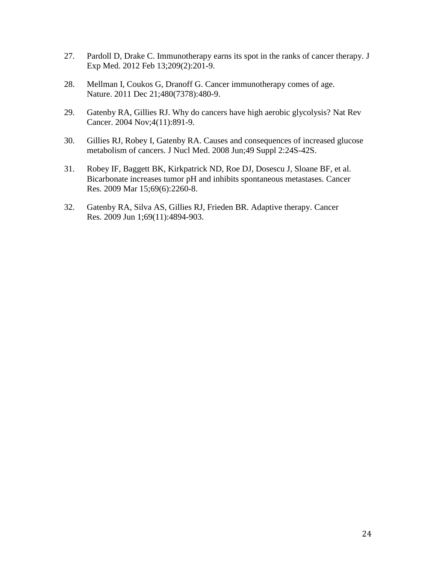- 27. Pardoll D, Drake C. Immunotherapy earns its spot in the ranks of cancer therapy. [J](http://www.ncbi.nlm.nih.gov/pubmed?term=Pardoll%20D%2C%20Drake%20C.%20Immunotherapy%20earns%20its%20spot%20in%20the%20ranks%20of%20cancer%20therapy) Exp [Med.](http://www.ncbi.nlm.nih.gov/pubmed?term=Pardoll%20D%2C%20Drake%20C.%20Immunotherapy%20earns%20its%20spot%20in%20the%20ranks%20of%20cancer%20therapy) 2012 Feb 13;209(2):201-9.
- 28. Mellman I, Coukos G, Dranoff G. Cancer immunotherapy comes of age. [Nature.](http://www.ncbi.nlm.nih.gov/pubmed?term=Mellman%20I%2C%20Coukos%20G%2C%20Dranoff%20G.%20Cancer%20immunotherapy%20comes%20of%20age.) 2011 Dec 21;480(7378):480-9.
- 29. Gatenby RA, Gillies RJ. Why do cancers have high aerobic glycolysis? [Nat](http://www.ncbi.nlm.nih.gov/pubmed/15516961) Rev [Cancer.](http://www.ncbi.nlm.nih.gov/pubmed/15516961) 2004 Nov;4(11):891-9.
- 30. Gillies RJ, Robey I, Gatenby RA. Causes and consequences of increased glucose metabolism of cancers. J Nucl [Med.](http://www.ncbi.nlm.nih.gov/pubmed?term=Gillies%20RJ%2C%20Robey%20I%2C%20Gatenby%20RA.%20Causes%20and%20consequences%20of%20increased%20glucose%20metabolism%20of%20cancers) 2008 Jun;49 Suppl 2:24S-42S.
- 31. Robey IF, Baggett BK, Kirkpatrick ND, [Roe](http://www.ncbi.nlm.nih.gov/pubmed?term=Roe%20DJ%5BAuthor%5D&cauthor=true&cauthor_uid=19276390) DJ, [Dosescu](http://www.ncbi.nlm.nih.gov/pubmed?term=Dosescu%20J%5BAuthor%5D&cauthor=true&cauthor_uid=19276390) J, [Sloane](http://www.ncbi.nlm.nih.gov/pubmed?term=Sloane%20BF%5BAuthor%5D&cauthor=true&cauthor_uid=19276390) BF, et al. Bicarbonate increases tumor pH and inhibits spontaneous metastases. [Cancer](http://www.ncbi.nlm.nih.gov/pubmed?term=Robey%20IF%2C%20Baggett%20BK%2C%20Kirkpatrick%20ND%2C%20et%20al.%20Bicarbonate%20increases%20tumor%20pH%20and%20inhibits%20spontaneous%20metastases.) [Res.](http://www.ncbi.nlm.nih.gov/pubmed?term=Robey%20IF%2C%20Baggett%20BK%2C%20Kirkpatrick%20ND%2C%20et%20al.%20Bicarbonate%20increases%20tumor%20pH%20and%20inhibits%20spontaneous%20metastases.) 2009 Mar 15;69(6):2260-8.
- 32. Gatenby RA, Silva AS, Gillies RJ, Frieden BR. Adaptive therapy. [Cancer](http://www.ncbi.nlm.nih.gov/pubmed?term=Gatenby%20RA%2C%20Silva%20AS%2C%20Gillies%20RJ%2C%20Frieden%20BR.%20Adaptive%20therapy) [Res.](http://www.ncbi.nlm.nih.gov/pubmed?term=Gatenby%20RA%2C%20Silva%20AS%2C%20Gillies%20RJ%2C%20Frieden%20BR.%20Adaptive%20therapy) 2009 Jun 1;69(11):4894-903.